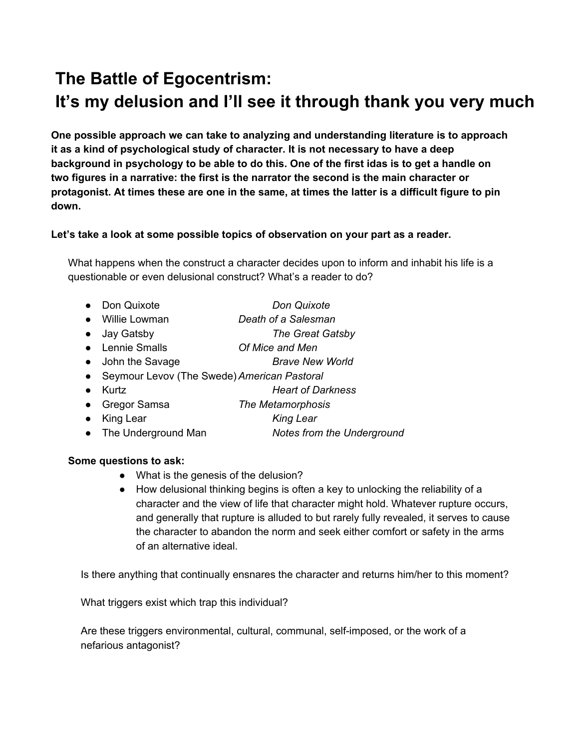# **The Battle of Egocentrism: It's my delusion and I'll see it through thank you very much**

**One possible approach we can take to analyzing and understanding literature is to approach it as a kind of psychological study of character. It is not necessary to have a deep** background in psychology to be able to do this. One of the first idas is to get a handle on **two figures in a narrative: the first is the narrator the second is the main character or** protagonist. At times these are one in the same, at times the latter is a difficult figure to pin **down.**

# **Let's take a look at some possible topics of observation on your part as a reader.**

What happens when the construct a character decides upon to inform and inhabit his life is a questionable or even delusional construct? What's a reader to do?

- Don Quixote *Don Quixote*
	-
- Willie Lowman *Death of a Salesman*
- Jay Gatsby *The Great Gatsby*
- Lennie Smalls *Of Mice and Men*
- John the Savage *Brave New World*
- Seymour Levov (The Swede)*American Pastoral*
- Kurtz *Heart of Darkness*
- Gregor Samsa *The Metamorphosis*
- King Lear *King Lear*
- The Underground Man *Notes from the Underground*

## **Some questions to ask:**

- What is the genesis of the delusion?
- How delusional thinking begins is often a key to unlocking the reliability of a character and the view of life that character might hold. Whatever rupture occurs, and generally that rupture is alluded to but rarely fully revealed, it serves to cause the character to abandon the norm and seek either comfort or safety in the arms of an alternative ideal.

Is there anything that continually ensnares the character and returns him/her to this moment?

What triggers exist which trap this individual?

Are these triggers environmental, cultural, communal, self-imposed, or the work of a nefarious antagonist?